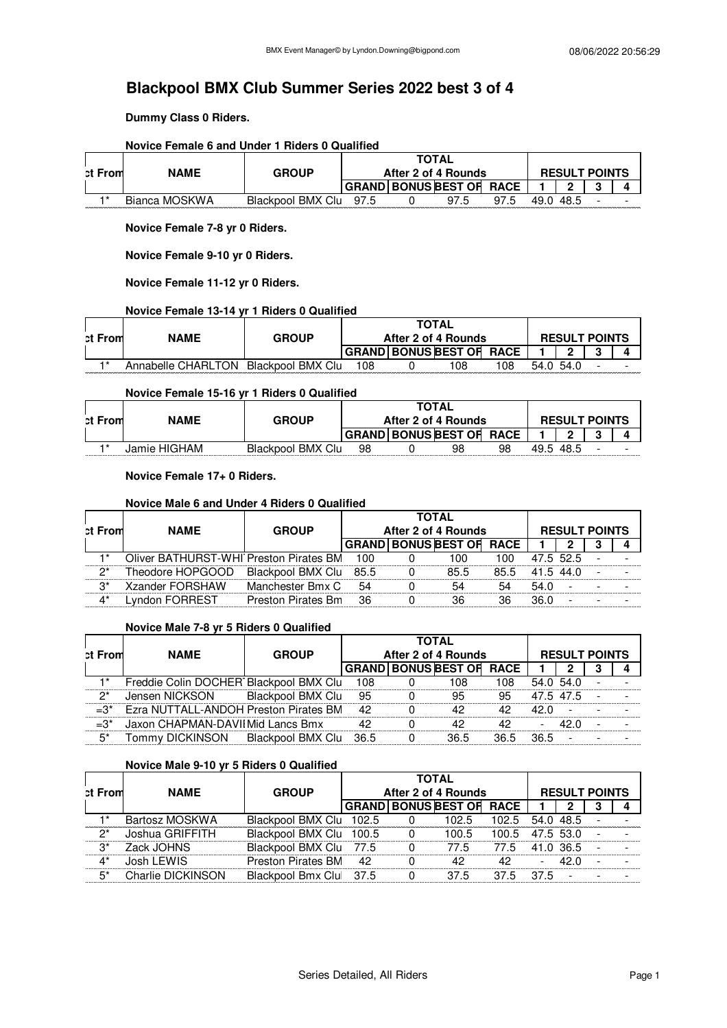**Dummy Class 0 Riders.**

|         | Novice Female 6 and Under 1 Riders 0 Qualified |                   |     |                                 |      |      |                      |  |
|---------|------------------------------------------------|-------------------|-----|---------------------------------|------|------|----------------------|--|
|         |                                                |                   |     | <b>TOTAL</b>                    |      |      |                      |  |
| ct From | <b>NAME</b>                                    | <b>GROUP</b>      |     | After 2 of 4 Rounds             |      |      | <b>RESULT POINTS</b> |  |
|         |                                                |                   |     | <b>GRAND BONUS BEST OF RACE</b> |      |      | n                    |  |
| $+*$    | Bianca MOSKWA                                  | Blackpool BMX Clu | 975 | 97.5                            | 97.5 | 49 O | -48.5                |  |

## **Novice Female 6 and Under 1 Riders 0 Qualified**

**Novice Female 7-8 yr 0 Riders.**

**Novice Female 9-10 yr 0 Riders.**

**Novice Female 11-12 yr 0 Riders.**

#### **Novice Female 13-14 yr 1 Riders 0 Qualified**

| <b>ct From</b> | <b>NAME</b>        | <b>GROUP</b>      |     | <b>TOTAL</b><br>After 2 of 4 Rounds |     |           | <b>RESULT POINTS</b> |  |
|----------------|--------------------|-------------------|-----|-------------------------------------|-----|-----------|----------------------|--|
|                |                    |                   |     | GRAND BONUS BEST OF RACE            |     |           | n.                   |  |
| $+*$           | Annabelle CHARLTON | Blackpool BMX Clu | 108 | 108                                 | 108 | 54.0 54.0 |                      |  |

#### **Novice Female 15-16 yr 1 Riders 0 Qualified**

| <b>ct From</b> | <b>NAME</b>  | <b>GROUP</b>      |    | <b>TOTAL</b> | After 2 of 4 Rounds             |    |           | <b>RESULT POINTS</b> |  |
|----------------|--------------|-------------------|----|--------------|---------------------------------|----|-----------|----------------------|--|
|                |              |                   |    |              | <b>GRAND BONUS BEST OF RACE</b> |    |           |                      |  |
| $+*$           | Jamie HIGHAM | Blackpool BMX Clu | 98 |              | 98                              | 98 | 49.5 48.5 |                      |  |

#### **Novice Female 17+ 0 Riders.**

#### **Novice Male 6 and Under 4 Riders 0 Qualified**

| <b>ct From</b>       | <b>NAME</b>                             | <b>GROUP</b>       |     | <b>TOTAL</b><br>After 2 of 4 Rounds |      |           | <b>RESULT POINTS</b>     |   |
|----------------------|-----------------------------------------|--------------------|-----|-------------------------------------|------|-----------|--------------------------|---|
|                      |                                         |                    |     | <b>GRAND BONUS BEST OF RACE</b>     |      |           |                          | д |
| 1*                   | Oliver BATHURST-WHI Preston Pirates BM  |                    | 100 | 100.                                | 100  |           | 47.5 52.5                |   |
| ク*                   | Theodore HOPGOOD Blackpool BMX Clu 85.5 |                    |     | 85.5                                | 85.5 | 41.5 44.0 |                          |   |
| $\mathcal{B}^*$      | Xzander FORSHAW                         | Manchester Bmx C   | 54  | 54                                  | 54   | 54.0      | $\overline{\phantom{a}}$ |   |
| $\mathbf{\Lambda}^*$ | Lyndon FORREST                          | Preston Pirates Bm | 36  | 36                                  | 36   | 36.0      |                          |   |

#### **Novice Male 7-8 yr 5 Riders 0 Qualified**

|                |                                        |                   |     | <b>TOTAL</b> |                                 |      |           |                      |  |
|----------------|----------------------------------------|-------------------|-----|--------------|---------------------------------|------|-----------|----------------------|--|
| <b>ct From</b> | <b>NAME</b>                            | <b>GROUP</b>      |     |              | After 2 of 4 Rounds             |      |           | <b>RESULT POINTS</b> |  |
|                |                                        |                   |     |              | <b>GRAND BONUS BEST OF RACE</b> |      |           |                      |  |
|                | Freddie Colin DOCHER Blackpool BMX Clu |                   | 108 |              | 108                             | 108  | 54.0 54.0 |                      |  |
| ク*             | Jensen NICKSON                         | Blackpool BMX Clu | 95  |              | 95                              | 95   | 47.5 47.5 |                      |  |
| $=3^*$         | Ezra NUTTALL-ANDOH Preston Pirates BM  |                   | 42  |              | 42                              | 42   | 42 O      |                      |  |
| $=3^*$         | Jaxon CHAPMAN-DAVII Mid Lancs Bmx      |                   | 42  |              | 42                              | 42   |           |                      |  |
| 5*             | Tommy DICKINSON Blackpool BMX Clu 36.5 |                   |     |              | 36.5                            | 36.5 | 36.5      |                      |  |

#### **Novice Male 9-10 yr 5 Riders 0 Qualified**

|                |                   |                         |          | <b>TOTAL</b>                    |       |           |                      |  |
|----------------|-------------------|-------------------------|----------|---------------------------------|-------|-----------|----------------------|--|
| <b>ct From</b> | <b>NAME</b>       | <b>GROUP</b>            |          | After 2 of 4 Rounds             |       |           | <b>RESULT POINTS</b> |  |
|                |                   |                         |          | <b>GRAND BONUS BEST OF RACE</b> |       |           |                      |  |
|                | Bartosz MOSKWA    | Blackpool BMX Clu 102.5 | $\Omega$ | 102.5                           | 102.5 | 54.0 48.5 |                      |  |
| ヮ*             | Joshua GRIFFITH   | Blackpool BMX Clu 100.5 | $\Omega$ | 100.5                           | 100.5 | 47.5 53.0 |                      |  |
| 3*             | Zack JOHNS        | Blackpool BMX Clu 77.5  |          | 77.5                            | 77.5  | 41.0 36.5 |                      |  |
| $4^*$          | Josh LEWIS        | Preston Pirates BM 42   |          | 42                              | 42    |           |                      |  |
| $5*$           | Charlie DICKINSON | Blackpool Bmx Clu 37.5  | 0        | 37.5                            | 37.5  |           |                      |  |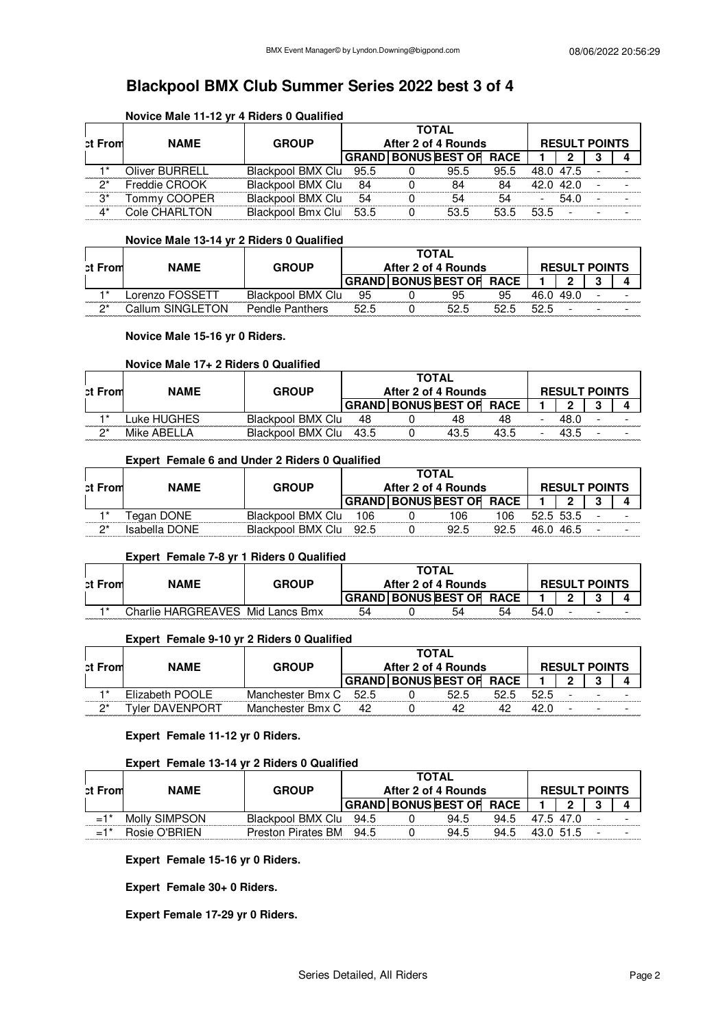## **Novice Male 11-12 yr 4 Riders 0 Qualified**

| ct From | <b>NAME</b>    | <b>GROUP</b>           |    | <b>TOTAL</b><br>After 2 of 4 Rounds |      |           | <b>RESULT POINTS</b>     |  |
|---------|----------------|------------------------|----|-------------------------------------|------|-----------|--------------------------|--|
|         |                |                        |    | <b>GRAND BONUS BEST OF RACE</b>     |      |           |                          |  |
|         | Oliver BURRELL | Blackpool BMX Clu 95.5 |    | 95.5                                | 95.5 | 48.0 47.5 |                          |  |
| $2^*$   | Freddie CROOK  | Blackpool BMX Clu      | 84 | 84                                  | 84   |           | 42.0 42.0                |  |
| $3^*$   | Tommy COOPER   | Blackpool BMX Clu      | 54 | 54                                  | 54   | Ξ.        | 54.0                     |  |
| $4^*$   | Cole CHARLTON  | Blackpool Bmx Clu 53.5 |    | 53.5                                | 53.5 | 53.5      | $\overline{\phantom{a}}$ |  |

#### **Novice Male 13-14 yr 2 Riders 0 Qualified**

|         |                  |                        |      | <b>TOTAL</b>               |             |      |                      |  |
|---------|------------------|------------------------|------|----------------------------|-------------|------|----------------------|--|
| ct From | <b>NAME</b>      | <b>GROUP</b>           |      | After 2 of 4 Rounds        |             |      | <b>RESULT POINTS</b> |  |
|         |                  |                        |      | <b>GRAND BONUS BEST OF</b> | <b>RACE</b> |      |                      |  |
| -1*     | _orenzo FOSSETT  | Blackpool BMX Clu      | 95   | 95                         | 95          | 46.0 |                      |  |
| ŋ*      | Callum SINGLETON | <b>Pendle Panthers</b> | 52.5 | 52.5                       | 52.5        |      |                      |  |

### **Novice Male 15-16 yr 0 Riders.**

#### **Novice Male 17+ 2 Riders 0 Qualified**

|         |               |                   |      | TOTAL |                            |             |                      |  |
|---------|---------------|-------------------|------|-------|----------------------------|-------------|----------------------|--|
| ct From | <b>NAMF</b>   | <b>GROUP</b>      |      |       | After 2 of 4 Rounds        |             | <b>RESULT POINTS</b> |  |
|         |               |                   |      |       | <b>GRAND BONUS BEST OF</b> | <b>RACE</b> |                      |  |
|         | uke HUGHES_   | Blackpool BMX Clu | 48   |       |                            |             |                      |  |
| n*      | Mike ARFI I A | Blackpool BMX Clu | 43.5 |       |                            |             |                      |  |

### **Expert Female 6 and Under 2 Riders 0 Qualified**

| <b>ct From</b> | <b>NAME</b>   | <b>GROUP</b>      |      | <b>TOTAL</b><br>After 2 of 4 Rounds |      |           | <b>RESULT POINTS</b> |  |
|----------------|---------------|-------------------|------|-------------------------------------|------|-----------|----------------------|--|
|                |               |                   |      | <b>GRAND BONUS BEST OF RACE</b>     |      |           | <u>ີ</u>             |  |
|                | Tegan DONE    | Blackpool BMX Clu | 106  | 106                                 | 106  | 52.5 53.5 |                      |  |
| n*             | Isabella DONE | Blackpool BMX Clu | 92.5 | 92.5                                | 92.5 | 46.0 46.5 |                      |  |

#### **Expert Female 7-8 yr 1 Riders 0 Qualified**

| <b>ct From</b> | <b>NAME</b>                      | <b>GROUP</b> |    | <b>TOTAL</b><br>After 2 of 4 Rounds |    |      |   | <b>RESULT POINTS</b> |  |
|----------------|----------------------------------|--------------|----|-------------------------------------|----|------|---|----------------------|--|
|                |                                  |              |    | GRAND BONUS BEST OF RACE            |    |      |   |                      |  |
| $+*$           | Charlie HARGREAVES Mid Lancs Bmx |              | 54 | 54                                  | 54 | 54.0 | - |                      |  |

### **Expert Female 9-10 yr 2 Riders 0 Qualified**

|                |                 |                  |      | TOTAL |                          |      |      |                          |                      |  |
|----------------|-----------------|------------------|------|-------|--------------------------|------|------|--------------------------|----------------------|--|
| <b>ct From</b> | <b>NAME</b>     | <b>GROUP</b>     |      |       | After 2 of 4 Rounds      |      |      |                          | <b>RESULT POINTS</b> |  |
|                |                 |                  |      |       | GRAND BONUS BEST OF RACE |      |      | n                        |                      |  |
|                | Elizabeth POOLE | Manchester Bmx C | 52.5 |       | 52.5                     | 52.5 | 52.5 | $\overline{\phantom{a}}$ |                      |  |
| ጣ*             | Tvler DAVENPORT | Manchester Bmx C |      |       | 42                       |      |      | -                        |                      |  |

#### **Expert Female 11-12 yr 0 Riders.**

#### **Expert Female 13-14 yr 2 Riders 0 Qualified**

| <b>ct From</b>    | <b>NAME</b><br><b>GROUP</b> |                           |      | <b>TOTAL</b><br>After 2 of 4 Rounds |                          |      |           |  | <b>RESULT POINTS</b> |  |  |  |  |
|-------------------|-----------------------------|---------------------------|------|-------------------------------------|--------------------------|------|-----------|--|----------------------|--|--|--|--|
|                   |                             |                           |      |                                     | GRAND BONUS BEST OF RACE |      |           |  |                      |  |  |  |  |
| $=1$ <sup>*</sup> | Molly SIMPSON               | Blackpool BMX Clu         | 94.5 |                                     | 94.5                     | 94.5 | 47.5 47.0 |  |                      |  |  |  |  |
|                   | Rosie O'BRIEN               | <b>Preston Pirates BM</b> | 94.5 |                                     | 94.5                     | 94.5 | 43.0 51.5 |  |                      |  |  |  |  |

**Expert Female 15-16 yr 0 Riders.**

**Expert Female 30+ 0 Riders.**

**Expert Female 17-29 yr 0 Riders.**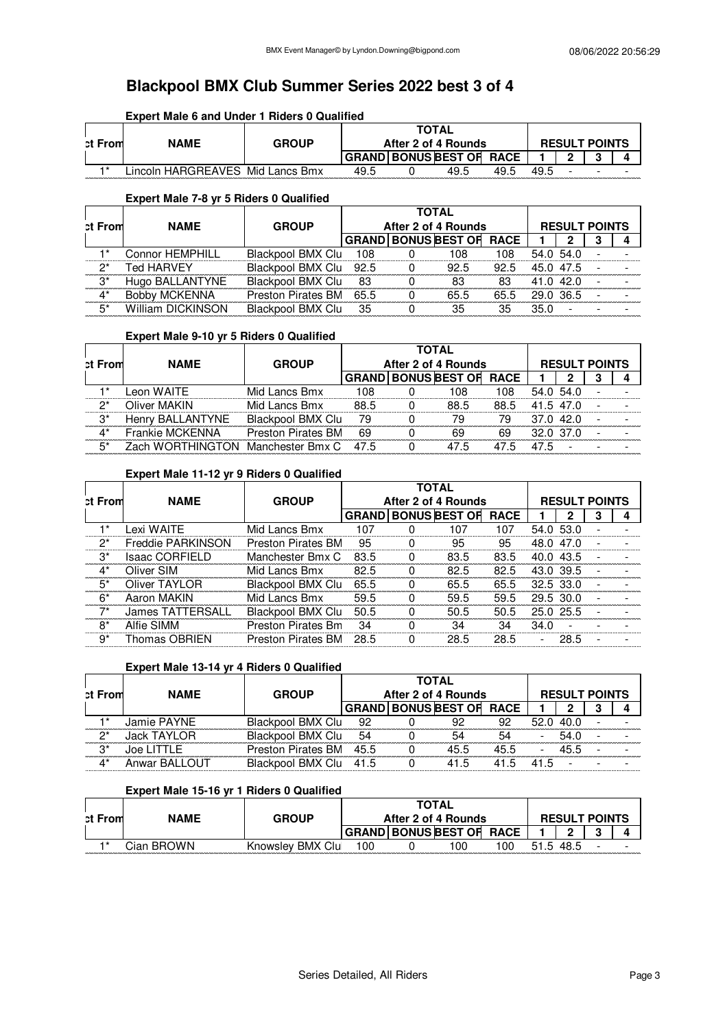## **Expert Male 6 and Under 1 Riders 0 Qualified**

| <b>ct From</b> | <b>NAME</b>                     | <b>GROUP</b> | <b>TOTAL</b><br>After 2 of 4 Rounds |  |                                 |      |      | <b>RESULT POINTS</b> |  |  |  |  |
|----------------|---------------------------------|--------------|-------------------------------------|--|---------------------------------|------|------|----------------------|--|--|--|--|
|                |                                 |              |                                     |  | <b>GRAND BONUS BEST OF RACE</b> |      |      |                      |  |  |  |  |
| $+*$           | incoln HARGREAVES Mid Lancs Bmx |              | 49.5                                |  | 49.5                            | 49.5 | 49.5 |                      |  |  |  |  |

## **Expert Male 7-8 yr 5 Riders 0 Qualified**

| <b>ct From</b> | <b>NAME</b>              | <b>GROUP</b>            | <b>TOTAL</b><br>After 2 of 4 Rounds |  |                                 |      |           | <b>RESULT POINTS</b> |  |  |  |  |
|----------------|--------------------------|-------------------------|-------------------------------------|--|---------------------------------|------|-----------|----------------------|--|--|--|--|
|                |                          |                         |                                     |  | <b>GRAND BONUS BEST OF RACE</b> |      |           |                      |  |  |  |  |
|                | <b>Connor HEMPHILL</b>   | Blackpool BMX Clu       | 108                                 |  | 108                             | 108  | 54.0 54.0 |                      |  |  |  |  |
| $2^*$          | <b>Ted HARVEY</b>        | Blackpool BMX Clu 92.5  |                                     |  | 92.5                            | 92.5 | 45.0 47.5 |                      |  |  |  |  |
| $3^*$          | Hugo BALLANTYNE          | Blackpool BMX Clu       | -83                                 |  | 83                              | 83   | 41.0 42.0 |                      |  |  |  |  |
| ∆*             | <b>Bobby MCKENNA</b>     | Preston Pirates BM 65.5 |                                     |  | 65.5                            | 65.5 | 29.0 36.5 |                      |  |  |  |  |
| 5*             | <b>William DICKINSON</b> | Blackpool BMX Clu       | 35                                  |  | 35                              | 35   | 35.0      |                      |  |  |  |  |

#### **Expert Male 9-10 yr 5 Riders 0 Qualified**

| <b>ct From</b> | <b>NAME</b>                       | <b>GROUP</b>              | <b>TOTAL</b><br>After 2 of 4 Rounds |  |                                 |      |           | <b>RESULT POINTS</b> |  |  |  |
|----------------|-----------------------------------|---------------------------|-------------------------------------|--|---------------------------------|------|-----------|----------------------|--|--|--|
|                |                                   |                           |                                     |  | <b>GRAND BONUS BEST OF RACE</b> |      |           |                      |  |  |  |
|                | Leon WAITE                        | Mid Lancs Bmx             | 108                                 |  | 108                             | 108  | 54.0 54.0 |                      |  |  |  |
| ク*             | Oliver MAKIN                      | Mid Lancs Bmx             | 88.5                                |  | 88.5                            | 88.5 | 41.5 47.0 |                      |  |  |  |
| $3^*$          | Henry BALLANTYNE                  | Blackpool BMX Clu         | - 79                                |  | 79                              | 79   | 37.0 42.0 |                      |  |  |  |
| $\Lambda^*$    | Frankie MCKENNA                   | <b>Preston Pirates BM</b> | 69                                  |  | 69                              | 69   | 32.0 37.0 |                      |  |  |  |
| $5*$           | Zach WORTHINGTON Manchester Bmx C |                           | 47.5                                |  | 47.5                            | 47.5 | 47.5      | $\blacksquare$       |  |  |  |

### **Expert Male 11-12 yr 9 Riders 0 Qualified**

|         |                          |                           |      |                     | <b>TOTAL</b>                    |      |           |                |  |  |
|---------|--------------------------|---------------------------|------|---------------------|---------------------------------|------|-----------|----------------|--|--|
| ct From | <b>NAME</b>              | <b>GROUP</b>              |      | After 2 of 4 Rounds | <b>RESULT POINTS</b>            |      |           |                |  |  |
|         |                          |                           |      |                     | <b>GRAND BONUS BEST OF RACE</b> |      |           |                |  |  |
| 1*      | Lexi WAITE               | Mid Lancs Bmx             | 107  |                     | 107                             | 107  |           | 54.0 53.0      |  |  |
| $2^*$   | <b>Freddie PARKINSON</b> | <b>Preston Pirates BM</b> | 95   |                     | 95                              | 95   | 48.0 47.0 |                |  |  |
| $3^*$   | <b>Isaac CORFIELD</b>    | Manchester Bmx C          | 83.5 | $\Omega$            | 83.5                            | 83.5 | 40.0 43.5 |                |  |  |
| $4^*$   | Oliver SIM               | Mid Lancs Bmx             | 82.5 | $\Omega$            | 82.5                            | 82.5 |           | 43.0 39.5      |  |  |
| $5^*$   | Oliver TAYLOR            | Blackpool BMX Clu         | 65.5 | $\Omega$            | 65.5                            | 65.5 | 32.5 33.0 |                |  |  |
| $6*$    | Aaron MAKIN              | Mid Lancs Bmx             | 59.5 | 0                   | 59.5                            | 59.5 |           | 29.5 30.0      |  |  |
| $7*$    | <b>James TATTERSALL</b>  | Blackpool BMX Clu         | 50.5 |                     | 50.5                            | 50.5 |           | 25.0 25.5      |  |  |
| $8*$    | Alfie SIMM               | <b>Preston Pirates Bm</b> | 34   |                     | 34                              | 34   | 34.0      | $\blacksquare$ |  |  |
| ġ*      | Thomas OBRIEN            | <b>Preston Pirates BM</b> | 28.5 |                     | 28.5                            | 28.5 |           | 28.5           |  |  |

### **Expert Male 13-14 yr 4 Riders 0 Qualified**

| <b>ct From</b>  | <b>NAME</b>   | <b>GROUP</b>            | <b>TOTAL</b><br>After 2 of 4 Rounds |  |                                 |      |     | <b>RESULT POINTS</b> |  |
|-----------------|---------------|-------------------------|-------------------------------------|--|---------------------------------|------|-----|----------------------|--|
|                 |               |                         |                                     |  | <b>GRAND BONUS BEST OF RACE</b> |      |     |                      |  |
|                 | Jamie PAYNE   | Blackpool BMX Clu       | 92                                  |  | 92                              | 92   |     | 52.0 40.0            |  |
| ヮ*              | Jack TAYLOR   | Blackpool BMX Clu       | 54                                  |  | 54                              | 54   |     | 54.0                 |  |
| $\mathcal{B}^*$ | Joe LITTLE    | Preston Pirates BM 45.5 |                                     |  | 45.5                            | 45.5 |     | 45.5                 |  |
| $4^*$           | Anwar BALLOUT | Blackpool BMX Clu 41.5  |                                     |  | 41.5                            | 41.5 | 415 |                      |  |

#### **Expert Male 15-16 yr 1 Riders 0 Qualified**

| ct From | <b>NAME</b> | <b>GROUP</b>     | <b>TOTAL</b><br>After 2 of 4 Rounds |  |                     |             |      | <b>RESULT POINTS</b> |   |  |  |  |
|---------|-------------|------------------|-------------------------------------|--|---------------------|-------------|------|----------------------|---|--|--|--|
|         |             |                  |                                     |  | GRAND BONUS BEST OF | <b>RACE</b> |      |                      | o |  |  |  |
| $+ *$   | Cian BROWN. | Knowslev BMX Clu | 100                                 |  | 00 ا                | 100         | 51.5 | 48.5                 | - |  |  |  |